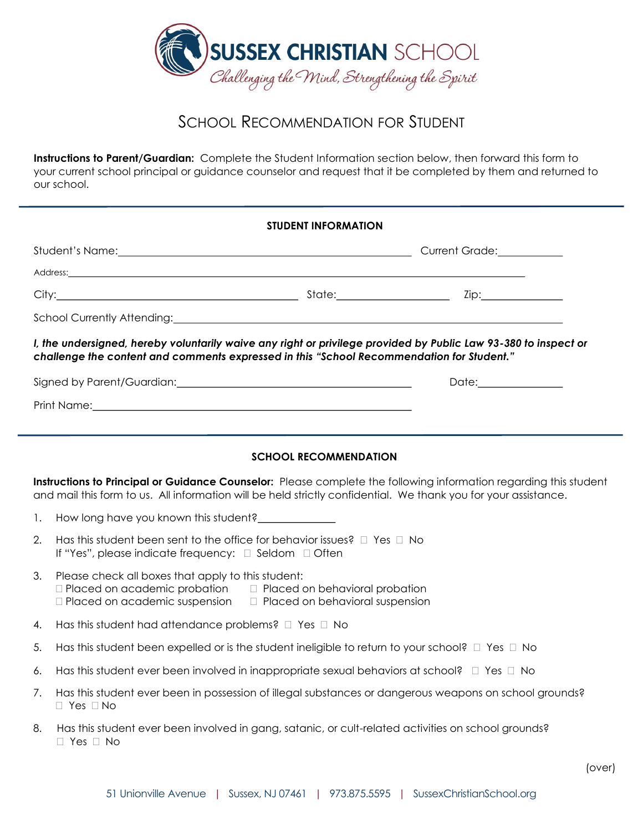

## SCHOOL RECOMMENDATION FOR STUDENT

**Instructions to Parent/Guardian:** Complete the Student Information section below, then forward this form to your current school principal or guidance counselor and request that it be completed by them and returned to our school.

## **STUDENT INFORMATION**

|                                                                                                                                                                                                              | Address: No. 2006. The Contract of the Contract of the Contract of the Contract of the Contract of the Contract of the Contract of the Contract of the Contract of the Contract of the Contract of the Contract of the Contrac       |  |  |  |  |  |  |  |
|--------------------------------------------------------------------------------------------------------------------------------------------------------------------------------------------------------------|--------------------------------------------------------------------------------------------------------------------------------------------------------------------------------------------------------------------------------------|--|--|--|--|--|--|--|
|                                                                                                                                                                                                              |                                                                                                                                                                                                                                      |  |  |  |  |  |  |  |
|                                                                                                                                                                                                              | School Currently Attending: <u>Cambridge Communications</u> and Currently Attending:                                                                                                                                                 |  |  |  |  |  |  |  |
| I, the undersigned, hereby voluntarily waive any right or privilege provided by Public Law 93-380 to inspect or<br>challenge the content and comments expressed in this "School Recommendation for Student." |                                                                                                                                                                                                                                      |  |  |  |  |  |  |  |
|                                                                                                                                                                                                              |                                                                                                                                                                                                                                      |  |  |  |  |  |  |  |
|                                                                                                                                                                                                              | Print Name: <u>Communications and Communications and Communications and Communications and Communications and Communications and Communications and Communications and Communications and Communications and Communications and </u> |  |  |  |  |  |  |  |
|                                                                                                                                                                                                              |                                                                                                                                                                                                                                      |  |  |  |  |  |  |  |
| <b>SCHOOL RECOMMENDATION</b>                                                                                                                                                                                 |                                                                                                                                                                                                                                      |  |  |  |  |  |  |  |
|                                                                                                                                                                                                              | Instructions to Principal or Guidance Counselor: Please complete the following information regarding this student<br>and mail this form to us. All information will be held strictly confidential. We thank you for your assistance. |  |  |  |  |  |  |  |
| 1.                                                                                                                                                                                                           | How long have you known this student?______________                                                                                                                                                                                  |  |  |  |  |  |  |  |
| 2.                                                                                                                                                                                                           | Has this student been sent to the office for behavior issues? $\square$ Yes $\square$ No<br>If "Yes", please indicate frequency: $\Box$ Seldom $\Box$ Often                                                                          |  |  |  |  |  |  |  |
| 3.                                                                                                                                                                                                           | Please check all boxes that apply to this student:<br>$\Box$ Placed on academic probation $\Box$ Placed on behavioral probation<br>$\Box$ Placed on academic suspension $\Box$ Placed on behavioral suspension                       |  |  |  |  |  |  |  |
| 4.                                                                                                                                                                                                           | Has this student had attendance problems? $\Box$ Yes $\Box$ No                                                                                                                                                                       |  |  |  |  |  |  |  |

- 5. Has this student been expelled or is the student ineligible to return to your school?  $\Box$  Yes  $\Box$  No
- 6. Has this student ever been involved in inappropriate sexual behaviors at school?  $\Box$  Yes  $\Box$  No
- 7. Has this student ever been in possession of illegal substances or dangerous weapons on school grounds?  $\Box$  Yes  $\Box$  No
- 8. Has this student ever been involved in gang, satanic, or cult-related activities on school grounds?  $\Box$  Yes  $\Box$  No